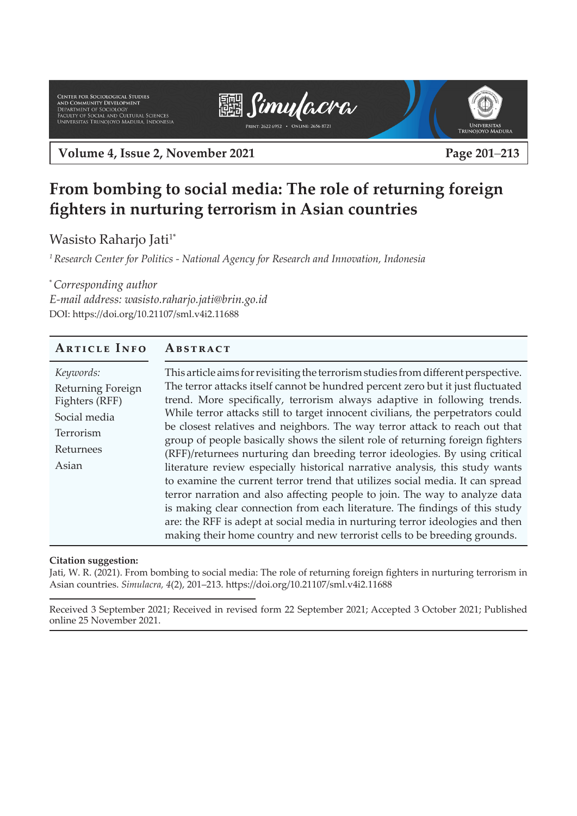Center for Sociological Studies<br>and Community Development<br>Department of Sociology<br>Faculty of Social and Cultural Sciences<br>Universitas Trunojoyo Madura, Indonesia





**Volume 4, Issue 2, November 2021 Page 201**–**213**

# **From bombing to social media: The role of returning foreign fighters in nurturing terrorism in Asian countries**

Wasisto Raharjo Jati<sup>1\*</sup>

*<sup>1</sup>Research Center for Politics - National Agency for Research and Innovation, Indonesia*

\* *Corresponding author E-mail address: wasisto.raharjo.jati@brin.go.id"* DOI: https://doi.org/10.21107/sml.v4i2.11688

#### **Article Info Abstract**

| Keywords:         | This article aims for revisiting the terrorism studies from different perspective. |
|-------------------|------------------------------------------------------------------------------------|
| Returning Foreign | The terror attacks itself cannot be hundred percent zero but it just fluctuated    |
| Fighters (RFF)    | trend. More specifically, terrorism always adaptive in following trends.           |
| Social media      | While terror attacks still to target innocent civilians, the perpetrators could    |
| Terrorism         | be closest relatives and neighbors. The way terror attack to reach out that        |
|                   | group of people basically shows the silent role of returning foreign fighters      |
| Returnees         | (RFF)/returnees nurturing dan breeding terror ideologies. By using critical        |
| Asian             | literature review especially historical narrative analysis, this study wants       |
|                   | to examine the current terror trend that utilizes social media. It can spread      |
|                   | terror narration and also affecting people to join. The way to analyze data        |
|                   | is making clear connection from each literature. The findings of this study        |
|                   | are: the RFF is adept at social media in nurturing terror ideologies and then      |
|                   | making their home country and new terrorist cells to be breeding grounds.          |

#### **Citation suggestion:**

Jati, W. R. (2021). From bombing to social media: The role of returning foreign fighters in nurturing terrorism in Asian countries. *Simulacra, 4*(2), 201–213. https://doi.org/10.21107/sml.v4i2.11688

Received 3 September 2021; Received in revised form 22 September 2021; Accepted 3 October 2021; Published online 25 November 2021.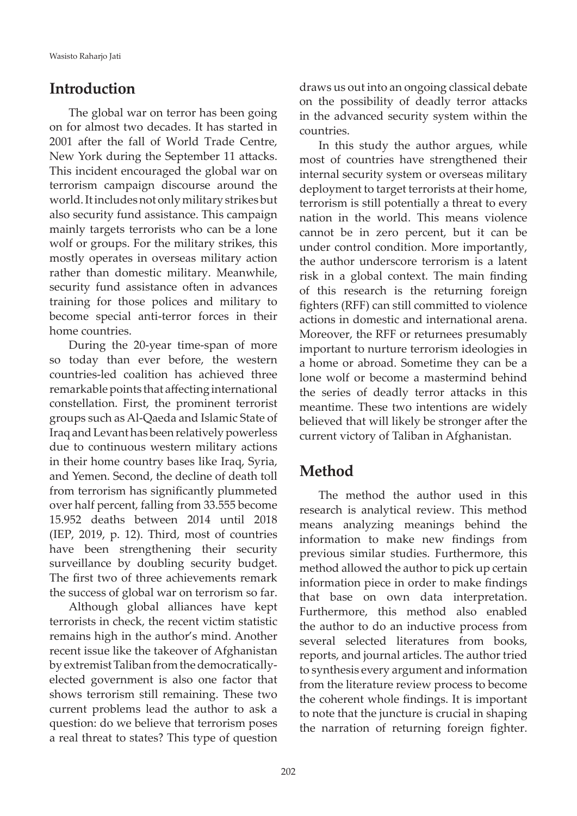### **Introduction**

The global war on terror has been going on for almost two decades. It has started in 2001 after the fall of World Trade Centre, New York during the September 11 attacks. This incident encouraged the global war on terrorism campaign discourse around the world. It includes not only military strikes but also security fund assistance. This campaign mainly targets terrorists who can be a lone wolf or groups. For the military strikes, this mostly operates in overseas military action rather than domestic military. Meanwhile, security fund assistance often in advances training for those polices and military to become special anti-terror forces in their home countries.

During the 20-year time-span of more so today than ever before, the western countries-led coalition has achieved three remarkable points that affecting international constellation. First, the prominent terrorist groups such as Al-Qaeda and Islamic State of Iraq and Levant has been relatively powerless due to continuous western military actions in their home country bases like Iraq, Syria, and Yemen. Second, the decline of death toll from terrorism has significantly plummeted over half percent, falling from 33.555 become 15.952 deaths between 2014 until 2018 (IEP, 2019, p. 12). Third, most of countries have been strengthening their security surveillance by doubling security budget. The first two of three achievements remark the success of global war on terrorism so far.

Although global alliances have kept terrorists in check, the recent victim statistic remains high in the author's mind. Another recent issue like the takeover of Afghanistan by extremist Taliban from the democraticallyelected government is also one factor that shows terrorism still remaining. These two current problems lead the author to ask a question: do we believe that terrorism poses a real threat to states? This type of question

draws us out into an ongoing classical debate on the possibility of deadly terror attacks in the advanced security system within the countries.

In this study the author argues, while most of countries have strengthened their internal security system or overseas military deployment to target terrorists at their home, terrorism is still potentially a threat to every nation in the world. This means violence cannot be in zero percent, but it can be under control condition. More importantly, the author underscore terrorism is a latent risk in a global context. The main finding of this research is the returning foreign fighters (RFF) can still committed to violence actions in domestic and international arena. Moreover, the RFF or returnees presumably important to nurture terrorism ideologies in a home or abroad. Sometime they can be a lone wolf or become a mastermind behind the series of deadly terror attacks in this meantime. These two intentions are widely believed that will likely be stronger after the current victory of Taliban in Afghanistan.

### **Method**

The method the author used in this research is analytical review. This method means analyzing meanings behind the information to make new findings from previous similar studies. Furthermore, this method allowed the author to pick up certain information piece in order to make findings that base on own data interpretation. Furthermore, this method also enabled the author to do an inductive process from several selected literatures from books, reports, and journal articles. The author tried to synthesis every argument and information from the literature review process to become the coherent whole findings. It is important to note that the juncture is crucial in shaping the narration of returning foreign fighter.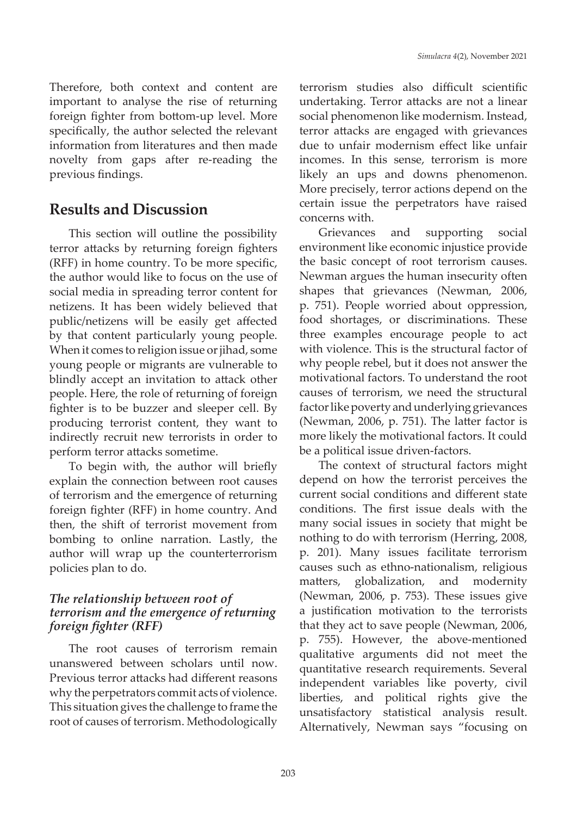Therefore, both context and content are important to analyse the rise of returning foreign fighter from bottom-up level. More specifically, the author selected the relevant information from literatures and then made novelty from gaps after re-reading the previous findings.

### **Results and Discussion**

This section will outline the possibility terror attacks by returning foreign fighters (RFF) in home country. To be more specific, the author would like to focus on the use of social media in spreading terror content for netizens. It has been widely believed that public/netizens will be easily get affected by that content particularly young people. When it comes to religion issue or jihad, some young people or migrants are vulnerable to blindly accept an invitation to attack other people. Here, the role of returning of foreign fighter is to be buzzer and sleeper cell. By producing terrorist content, they want to indirectly recruit new terrorists in order to perform terror attacks sometime.

To begin with, the author will briefly explain the connection between root causes of terrorism and the emergence of returning foreign fighter (RFF) in home country. And then, the shift of terrorist movement from bombing to online narration. Lastly, the author will wrap up the counterterrorism policies plan to do.

#### *The relationship between root of terrorism and the emergence of returning foreign fighter (RFF)*

The root causes of terrorism remain unanswered between scholars until now. Previous terror attacks had different reasons why the perpetrators commit acts of violence. This situation gives the challenge to frame the root of causes of terrorism. Methodologically terrorism studies also difficult scientific undertaking. Terror attacks are not a linear social phenomenon like modernism. Instead, terror attacks are engaged with grievances due to unfair modernism effect like unfair incomes. In this sense, terrorism is more likely an ups and downs phenomenon. More precisely, terror actions depend on the certain issue the perpetrators have raised concerns with.

Grievances and supporting social environment like economic injustice provide the basic concept of root terrorism causes. Newman argues the human insecurity often shapes that grievances (Newman, 2006, p. 751). People worried about oppression, food shortages, or discriminations. These three examples encourage people to act with violence. This is the structural factor of why people rebel, but it does not answer the motivational factors. To understand the root causes of terrorism, we need the structural factor like poverty and underlying grievances (Newman, 2006, p. 751). The latter factor is more likely the motivational factors. It could be a political issue driven-factors.

The context of structural factors might depend on how the terrorist perceives the current social conditions and different state conditions. The first issue deals with the many social issues in society that might be nothing to do with terrorism (Herring, 2008, p. 201). Many issues facilitate terrorism causes such as ethno-nationalism, religious matters, globalization, and modernity (Newman, 2006, p. 753). These issues give a justification motivation to the terrorists that they act to save people (Newman, 2006, p. 755). However, the above-mentioned qualitative arguments did not meet the quantitative research requirements. Several independent variables like poverty, civil liberties, and political rights give the unsatisfactory statistical analysis result. Alternatively, Newman says "focusing on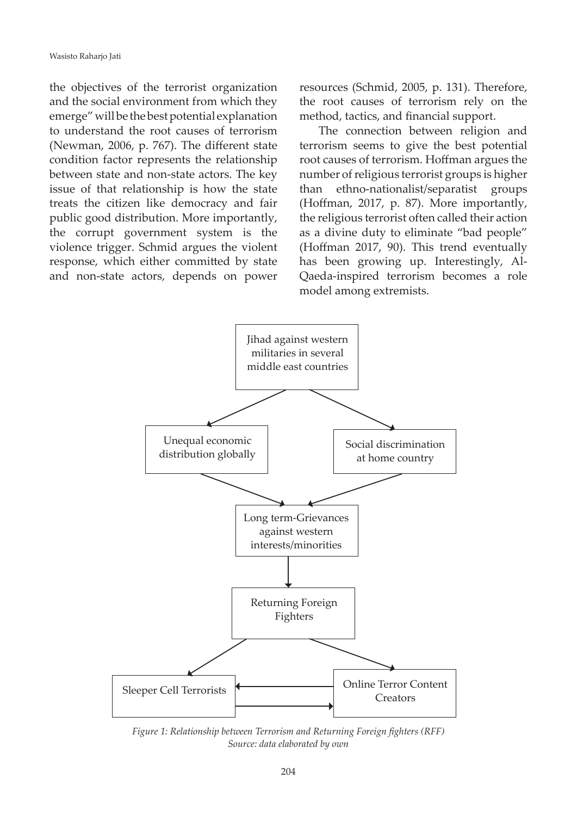the objectives of the terrorist organization and the social environment from which they emerge" will be the best potential explanation to understand the root causes of terrorism (Newman, 2006, p. 767). The different state condition factor represents the relationship between state and non-state actors. The key issue of that relationship is how the state treats the citizen like democracy and fair public good distribution. More importantly, the corrupt government system is the violence trigger. Schmid argues the violent response, which either committed by state and non-state actors, depends on power

resources (Schmid, 2005, p. 131). Therefore, the root causes of terrorism rely on the method, tactics, and financial support.

The connection between religion and terrorism seems to give the best potential root causes of terrorism. Hoffman argues the number of religious terrorist groups is higher than ethno-nationalist/separatist groups (Hoffman, 2017, p. 87). More importantly, the religious terrorist often called their action as a divine duty to eliminate "bad people" (Hoffman 2017, 90). This trend eventually has been growing up. Interestingly, Al-Qaeda-inspired terrorism becomes a role model among extremists.



*Figure 1: Relationship between Terrorism and Returning Foreign fighters (RFF) Source: data elaborated by own*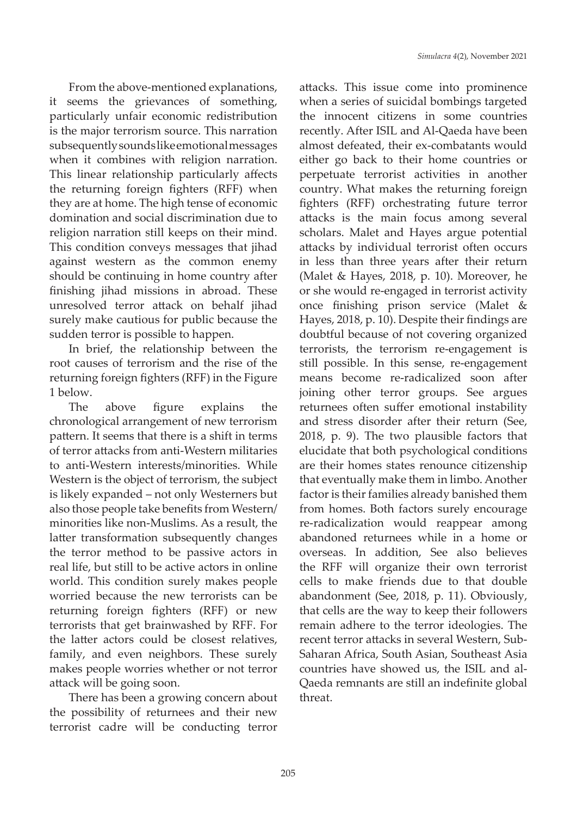From the above-mentioned explanations, it seems the grievances of something, particularly unfair economic redistribution is the major terrorism source. This narration subsequently sounds like emotional messages when it combines with religion narration. This linear relationship particularly affects the returning foreign fighters (RFF) when they are at home. The high tense of economic domination and social discrimination due to religion narration still keeps on their mind. This condition conveys messages that jihad against western as the common enemy should be continuing in home country after finishing jihad missions in abroad. These unresolved terror attack on behalf jihad surely make cautious for public because the sudden terror is possible to happen.

In brief, the relationship between the root causes of terrorism and the rise of the returning foreign fighters (RFF) in the Figure 1 below.

The above figure explains the chronological arrangement of new terrorism pattern. It seems that there is a shift in terms of terror attacks from anti-Western militaries to anti-Western interests/minorities. While Western is the object of terrorism, the subject is likely expanded – not only Westerners but also those people take benefits from Western/ minorities like non-Muslims. As a result, the latter transformation subsequently changes the terror method to be passive actors in real life, but still to be active actors in online world. This condition surely makes people worried because the new terrorists can be returning foreign fighters (RFF) or new terrorists that get brainwashed by RFF. For the latter actors could be closest relatives, family, and even neighbors. These surely makes people worries whether or not terror attack will be going soon.

There has been a growing concern about the possibility of returnees and their new terrorist cadre will be conducting terror

attacks. This issue come into prominence when a series of suicidal bombings targeted the innocent citizens in some countries recently. After ISIL and Al-Qaeda have been almost defeated, their ex-combatants would either go back to their home countries or perpetuate terrorist activities in another country. What makes the returning foreign fighters (RFF) orchestrating future terror attacks is the main focus among several scholars. Malet and Hayes argue potential attacks by individual terrorist often occurs in less than three years after their return (Malet & Hayes, 2018, p. 10). Moreover, he or she would re-engaged in terrorist activity once finishing prison service (Malet & Hayes, 2018, p. 10). Despite their findings are doubtful because of not covering organized terrorists, the terrorism re-engagement is still possible. In this sense, re-engagement means become re-radicalized soon after joining other terror groups. See argues returnees often suffer emotional instability and stress disorder after their return (See, 2018, p. 9). The two plausible factors that elucidate that both psychological conditions are their homes states renounce citizenship that eventually make them in limbo. Another factor is their families already banished them from homes. Both factors surely encourage re-radicalization would reappear among abandoned returnees while in a home or overseas. In addition, See also believes the RFF will organize their own terrorist cells to make friends due to that double abandonment (See, 2018, p. 11). Obviously, that cells are the way to keep their followers remain adhere to the terror ideologies. The recent terror attacks in several Western, Sub-Saharan Africa, South Asian, Southeast Asia countries have showed us, the ISIL and al-Qaeda remnants are still an indefinite global threat.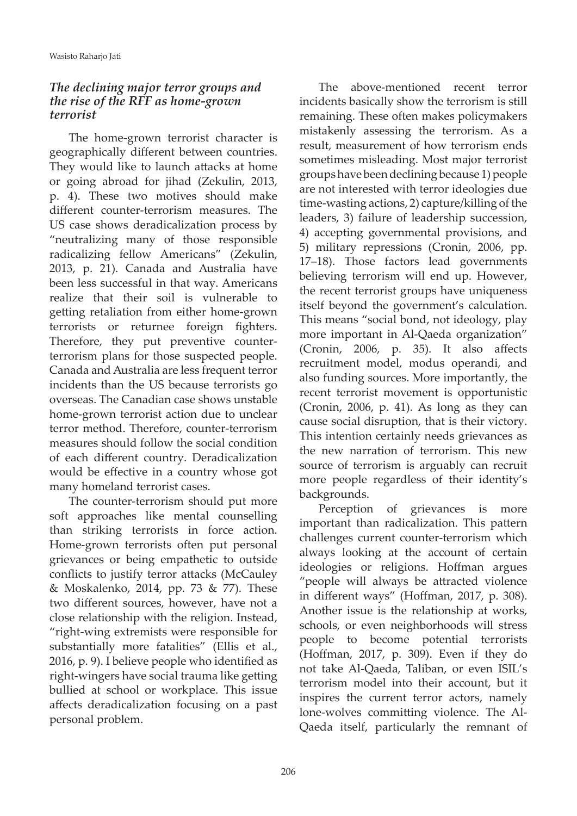#### *The declining major terror groups and the rise of the RFF as home-grown terrorist*

The home-grown terrorist character is geographically different between countries. They would like to launch attacks at home or going abroad for jihad (Zekulin, 2013, p. 4). These two motives should make different counter-terrorism measures. The US case shows deradicalization process by "neutralizing many of those responsible radicalizing fellow Americans" (Zekulin, 2013, p. 21). Canada and Australia have been less successful in that way. Americans realize that their soil is vulnerable to getting retaliation from either home-grown terrorists or returnee foreign fighters. Therefore, they put preventive counterterrorism plans for those suspected people. Canada and Australia are less frequent terror incidents than the US because terrorists go overseas. The Canadian case shows unstable home-grown terrorist action due to unclear terror method. Therefore, counter-terrorism measures should follow the social condition of each different country. Deradicalization would be effective in a country whose got many homeland terrorist cases.

The counter-terrorism should put more soft approaches like mental counselling than striking terrorists in force action. Home-grown terrorists often put personal grievances or being empathetic to outside conflicts to justify terror attacks (McCauley & Moskalenko, 2014, pp. 73 & 77). These two different sources, however, have not a close relationship with the religion. Instead, "right-wing extremists were responsible for substantially more fatalities" (Ellis et al., 2016, p. 9). I believe people who identified as right-wingers have social trauma like getting bullied at school or workplace. This issue affects deradicalization focusing on a past personal problem.

The above-mentioned recent terror incidents basically show the terrorism is still remaining. These often makes policymakers mistakenly assessing the terrorism. As a result, measurement of how terrorism ends sometimes misleading. Most major terrorist groups have been declining because 1) people are not interested with terror ideologies due time-wasting actions, 2) capture/killing of the leaders, 3) failure of leadership succession, 4) accepting governmental provisions, and 5) military repressions (Cronin, 2006, pp. 17–18). Those factors lead governments believing terrorism will end up. However, the recent terrorist groups have uniqueness itself beyond the government's calculation. This means "social bond, not ideology, play more important in Al-Qaeda organization" (Cronin, 2006, p. 35). It also affects recruitment model, modus operandi, and also funding sources. More importantly, the recent terrorist movement is opportunistic (Cronin, 2006, p. 41). As long as they can cause social disruption, that is their victory. This intention certainly needs grievances as the new narration of terrorism. This new source of terrorism is arguably can recruit more people regardless of their identity's backgrounds.

Perception of grievances is more important than radicalization. This pattern challenges current counter-terrorism which always looking at the account of certain ideologies or religions. Hoffman argues "people will always be attracted violence in different ways" (Hoffman, 2017, p. 308). Another issue is the relationship at works, schools, or even neighborhoods will stress people to become potential terrorists (Hoffman, 2017, p. 309). Even if they do not take Al-Qaeda, Taliban, or even ISIL's terrorism model into their account, but it inspires the current terror actors, namely lone-wolves committing violence. The Al-Qaeda itself, particularly the remnant of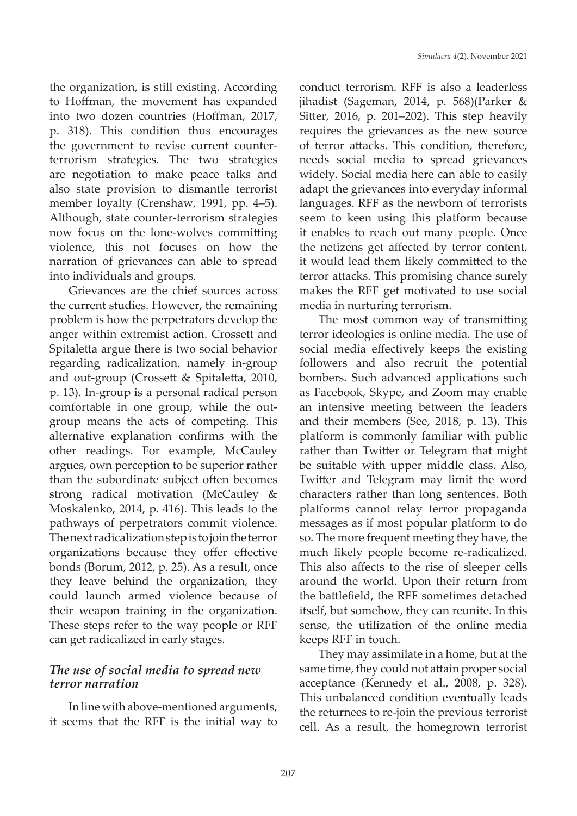the organization, is still existing. According to Hoffman, the movement has expanded into two dozen countries (Hoffman, 2017, p. 318). This condition thus encourages the government to revise current counterterrorism strategies. The two strategies are negotiation to make peace talks and also state provision to dismantle terrorist member loyalty (Crenshaw, 1991, pp. 4–5). Although, state counter-terrorism strategies now focus on the lone-wolves committing violence, this not focuses on how the narration of grievances can able to spread into individuals and groups.

Grievances are the chief sources across the current studies. However, the remaining problem is how the perpetrators develop the anger within extremist action. Crossett and Spitaletta argue there is two social behavior regarding radicalization, namely in-group and out-group (Crossett & Spitaletta, 2010, p. 13). In-group is a personal radical person comfortable in one group, while the outgroup means the acts of competing. This alternative explanation confirms with the other readings. For example, McCauley argues, own perception to be superior rather than the subordinate subject often becomes strong radical motivation (McCauley & Moskalenko, 2014, p. 416). This leads to the pathways of perpetrators commit violence. The next radicalization step is to join the terror organizations because they offer effective bonds (Borum, 2012, p. 25). As a result, once they leave behind the organization, they could launch armed violence because of their weapon training in the organization. These steps refer to the way people or RFF can get radicalized in early stages.

#### *The use of social media to spread new terror narration*

In line with above-mentioned arguments, it seems that the RFF is the initial way to

conduct terrorism. RFF is also a leaderless jihadist (Sageman, 2014, p. 568)(Parker & Sitter, 2016, p. 201–202). This step heavily requires the grievances as the new source of terror attacks. This condition, therefore, needs social media to spread grievances widely. Social media here can able to easily adapt the grievances into everyday informal languages. RFF as the newborn of terrorists seem to keen using this platform because it enables to reach out many people. Once the netizens get affected by terror content, it would lead them likely committed to the terror attacks. This promising chance surely makes the RFF get motivated to use social media in nurturing terrorism.

The most common way of transmitting terror ideologies is online media. The use of social media effectively keeps the existing followers and also recruit the potential bombers. Such advanced applications such as Facebook, Skype, and Zoom may enable an intensive meeting between the leaders and their members (See, 2018, p. 13). This platform is commonly familiar with public rather than Twitter or Telegram that might be suitable with upper middle class. Also, Twitter and Telegram may limit the word characters rather than long sentences. Both platforms cannot relay terror propaganda messages as if most popular platform to do so. The more frequent meeting they have, the much likely people become re-radicalized. This also affects to the rise of sleeper cells around the world. Upon their return from the battlefield, the RFF sometimes detached itself, but somehow, they can reunite. In this sense, the utilization of the online media keeps RFF in touch.

They may assimilate in a home, but at the same time, they could not attain proper social acceptance (Kennedy et al., 2008, p. 328). This unbalanced condition eventually leads the returnees to re-join the previous terrorist cell. As a result, the homegrown terrorist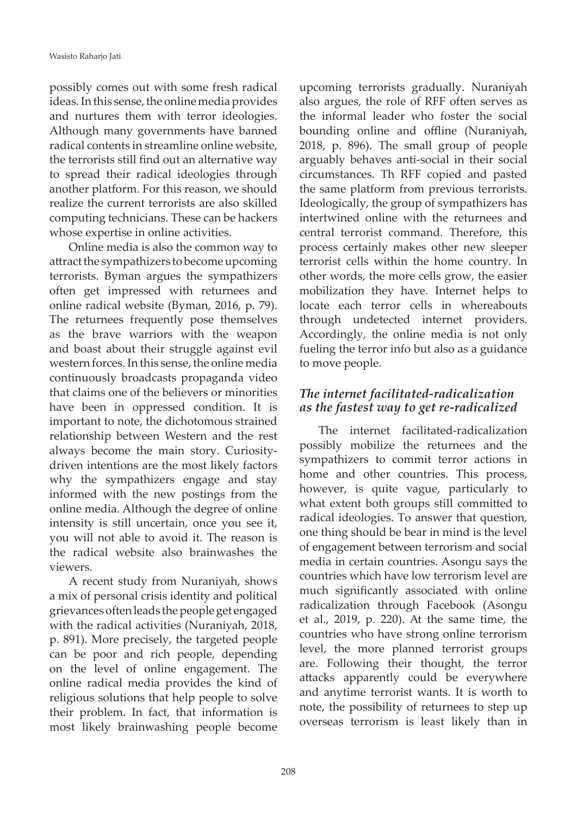possibly comes out with some fresh radical ideas. In this sense, the online media provides and nurtures them with terror ideologies. Although many governments have banned radical contents in streamline online website, the terrorists still find out an alternative way to spread their radical ideologies through another platform. For this reason, we should realize the current terrorists are also skilled computing technicians. These can be hackers whose expertise in online activities.

Online media is also the common way to attract the sympathizers to become upcoming terrorists. Byman argues the sympathizers often get impressed with returnees and online radical website (Byman, 2016, p. 79). The returnees frequently pose themselves as the brave warriors with the weapon and boast about their struggle against evil western forces. In this sense, the online media continuously broadcasts propaganda video that claims one of the believers or minorities have been in oppressed condition. It is important to note, the dichotomous strained relationship between Western and the rest always become the main story. Curiositydriven intentions are the most likely factors why the sympathizers engage and stay informed with the new postings from the online media. Although the degree of online intensity is still uncertain, once you see it, you will not able to avoid it. The reason is the radical website also brainwashes the viewers.

A recent study from Nuraniyah, shows a mix of personal crisis identity and political grievances often leads the people get engaged with the radical activities (Nuraniyah, 2018, p. 891). More precisely, the targeted people can be poor and rich people, depending on the level of online engagement. The online radical media provides the kind of religious solutions that help people to solve their problem. In fact, that information is most likely brainwashing people become upcoming terrorists gradually. Nuraniyah also argues, the role of RFF often serves as the informal leader who foster the social bounding online and offline (Nuraniyah, 2018, p. 896). The small group of people arguably behaves anti-social in their social circumstances. Th RFF copied and pasted the same platform from previous terrorists. Ideologically, the group of sympathizers has intertwined online with the returnees and central terrorist command. Therefore, this process certainly makes other new sleeper terrorist cells within the home country. In other words, the more cells grow, the easier mobilization they have. Internet helps to locate each terror cells in whereabouts through undetected internet providers. Accordingly, the online media is not only fueling the terror info but also as a guidance to move people.

#### *The internet facilitated-radicalization as the fastest way to get re-radicalized*

The internet facilitated-radicalization possibly mobilize the returnees and the sympathizers to commit terror actions in home and other countries. This process, however, is quite vague, particularly to what extent both groups still committed to radical ideologies. To answer that question, one thing should be bear in mind is the level of engagement between terrorism and social media in certain countries. Asongu says the countries which have low terrorism level are much significantly associated with online radicalization through Facebook (Asongu et al., 2019, p. 220). At the same time, the countries who have strong online terrorism level, the more planned terrorist groups are. Following their thought, the terror attacks apparently could be everywhere and anytime terrorist wants. It is worth to note, the possibility of returnees to step up overseas terrorism is least likely than in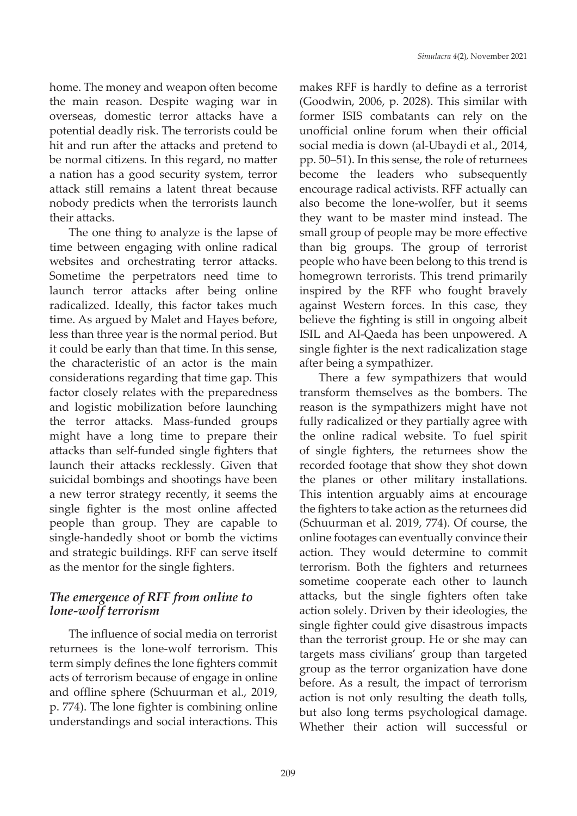home. The money and weapon often become the main reason. Despite waging war in overseas, domestic terror attacks have a potential deadly risk. The terrorists could be hit and run after the attacks and pretend to be normal citizens. In this regard, no matter a nation has a good security system, terror attack still remains a latent threat because nobody predicts when the terrorists launch their attacks.

The one thing to analyze is the lapse of time between engaging with online radical websites and orchestrating terror attacks. Sometime the perpetrators need time to launch terror attacks after being online radicalized. Ideally, this factor takes much time. As argued by Malet and Hayes before, less than three year is the normal period. But it could be early than that time. In this sense, the characteristic of an actor is the main considerations regarding that time gap. This factor closely relates with the preparedness and logistic mobilization before launching the terror attacks. Mass-funded groups might have a long time to prepare their attacks than self-funded single fighters that launch their attacks recklessly. Given that suicidal bombings and shootings have been a new terror strategy recently, it seems the single fighter is the most online affected people than group. They are capable to single-handedly shoot or bomb the victims and strategic buildings. RFF can serve itself as the mentor for the single fighters.

#### *The emergence of RFF from online to lone-wolf terrorism*

The influence of social media on terrorist returnees is the lone-wolf terrorism. This term simply defines the lone fighters commit acts of terrorism because of engage in online and offline sphere (Schuurman et al., 2019, p. 774). The lone fighter is combining online understandings and social interactions. This makes RFF is hardly to define as a terrorist (Goodwin, 2006, p. 2028). This similar with former ISIS combatants can rely on the unofficial online forum when their official social media is down (al-Ubaydi et al., 2014, pp. 50–51). In this sense, the role of returnees become the leaders who subsequently encourage radical activists. RFF actually can also become the lone-wolfer, but it seems they want to be master mind instead. The small group of people may be more effective than big groups. The group of terrorist people who have been belong to this trend is homegrown terrorists. This trend primarily inspired by the RFF who fought bravely against Western forces. In this case, they believe the fighting is still in ongoing albeit ISIL and Al-Qaeda has been unpowered. A single fighter is the next radicalization stage after being a sympathizer.

There a few sympathizers that would transform themselves as the bombers. The reason is the sympathizers might have not fully radicalized or they partially agree with the online radical website. To fuel spirit of single fighters, the returnees show the recorded footage that show they shot down the planes or other military installations. This intention arguably aims at encourage the fighters to take action as the returnees did (Schuurman et al. 2019, 774). Of course, the online footages can eventually convince their action. They would determine to commit terrorism. Both the fighters and returnees sometime cooperate each other to launch attacks, but the single fighters often take action solely. Driven by their ideologies, the single fighter could give disastrous impacts than the terrorist group. He or she may can targets mass civilians' group than targeted group as the terror organization have done before. As a result, the impact of terrorism action is not only resulting the death tolls, but also long terms psychological damage. Whether their action will successful or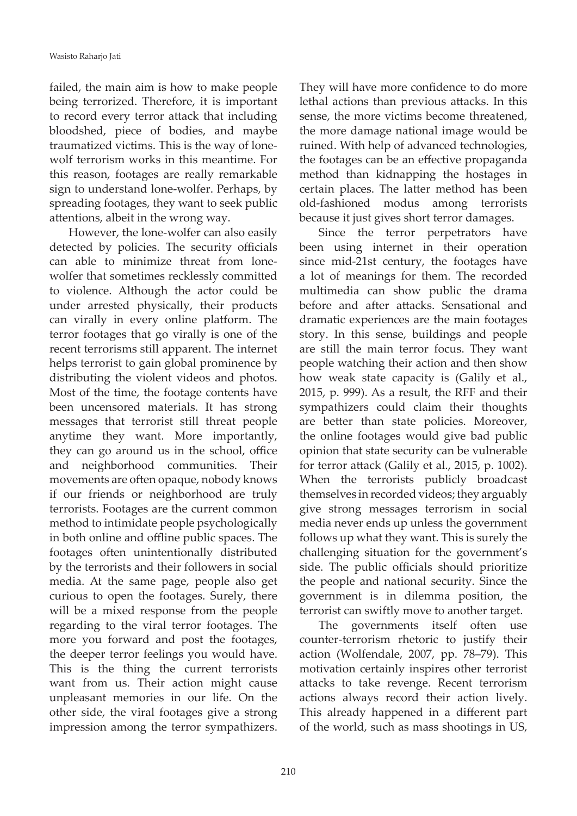failed, the main aim is how to make people being terrorized. Therefore, it is important to record every terror attack that including bloodshed, piece of bodies, and maybe traumatized victims. This is the way of lonewolf terrorism works in this meantime. For this reason, footages are really remarkable sign to understand lone-wolfer. Perhaps, by spreading footages, they want to seek public attentions, albeit in the wrong way.

However, the lone-wolfer can also easily detected by policies. The security officials can able to minimize threat from lonewolfer that sometimes recklessly committed to violence. Although the actor could be under arrested physically, their products can virally in every online platform. The terror footages that go virally is one of the recent terrorisms still apparent. The internet helps terrorist to gain global prominence by distributing the violent videos and photos. Most of the time, the footage contents have been uncensored materials. It has strong messages that terrorist still threat people anytime they want. More importantly, they can go around us in the school, office and neighborhood communities. Their movements are often opaque, nobody knows if our friends or neighborhood are truly terrorists. Footages are the current common method to intimidate people psychologically in both online and offline public spaces. The footages often unintentionally distributed by the terrorists and their followers in social media. At the same page, people also get curious to open the footages. Surely, there will be a mixed response from the people regarding to the viral terror footages. The more you forward and post the footages, the deeper terror feelings you would have. This is the thing the current terrorists want from us. Their action might cause unpleasant memories in our life. On the other side, the viral footages give a strong impression among the terror sympathizers.

They will have more confidence to do more lethal actions than previous attacks. In this sense, the more victims become threatened, the more damage national image would be ruined. With help of advanced technologies, the footages can be an effective propaganda method than kidnapping the hostages in certain places. The latter method has been old-fashioned modus among terrorists because it just gives short terror damages.

Since the terror perpetrators have been using internet in their operation since mid-21st century, the footages have a lot of meanings for them. The recorded multimedia can show public the drama before and after attacks. Sensational and dramatic experiences are the main footages story. In this sense, buildings and people are still the main terror focus. They want people watching their action and then show how weak state capacity is (Galily et al., 2015, p. 999). As a result, the RFF and their sympathizers could claim their thoughts are better than state policies. Moreover, the online footages would give bad public opinion that state security can be vulnerable for terror attack (Galily et al., 2015, p. 1002). When the terrorists publicly broadcast themselves in recorded videos; they arguably give strong messages terrorism in social media never ends up unless the government follows up what they want. This is surely the challenging situation for the government's side. The public officials should prioritize the people and national security. Since the government is in dilemma position, the terrorist can swiftly move to another target.

The governments itself often use counter-terrorism rhetoric to justify their action (Wolfendale, 2007, pp. 78–79). This motivation certainly inspires other terrorist attacks to take revenge. Recent terrorism actions always record their action lively. This already happened in a different part of the world, such as mass shootings in US,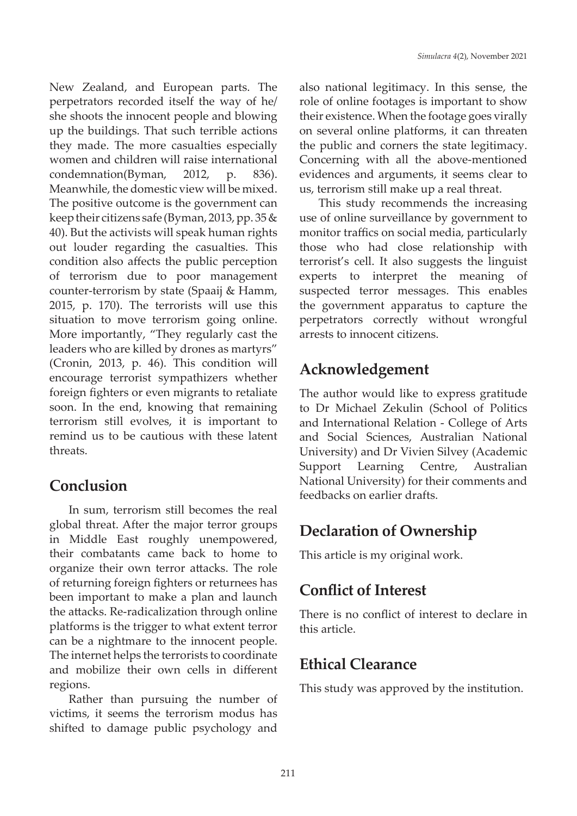New Zealand, and European parts. The perpetrators recorded itself the way of he/ she shoots the innocent people and blowing up the buildings. That such terrible actions they made. The more casualties especially women and children will raise international condemnation(Byman, 2012, p. 836). Meanwhile, the domestic view will be mixed. The positive outcome is the government can keep their citizens safe (Byman, 2013, pp. 35 & 40). But the activists will speak human rights out louder regarding the casualties. This condition also affects the public perception of terrorism due to poor management counter-terrorism by state (Spaaij & Hamm, 2015, p. 170). The terrorists will use this situation to move terrorism going online. More importantly, "They regularly cast the leaders who are killed by drones as martyrs" (Cronin, 2013, p. 46). This condition will encourage terrorist sympathizers whether foreign fighters or even migrants to retaliate soon. In the end, knowing that remaining terrorism still evolves, it is important to remind us to be cautious with these latent threats.

### **Conclusion**

In sum, terrorism still becomes the real global threat. After the major terror groups in Middle East roughly unempowered, their combatants came back to home to organize their own terror attacks. The role of returning foreign fighters or returnees has been important to make a plan and launch the attacks. Re-radicalization through online platforms is the trigger to what extent terror can be a nightmare to the innocent people. The internet helps the terrorists to coordinate and mobilize their own cells in different regions.

Rather than pursuing the number of victims, it seems the terrorism modus has shifted to damage public psychology and

also national legitimacy. In this sense, the role of online footages is important to show their existence. When the footage goes virally on several online platforms, it can threaten the public and corners the state legitimacy. Concerning with all the above-mentioned evidences and arguments, it seems clear to us, terrorism still make up a real threat.

This study recommends the increasing use of online surveillance by government to monitor traffics on social media, particularly those who had close relationship with terrorist's cell. It also suggests the linguist experts to interpret the meaning of suspected terror messages. This enables the government apparatus to capture the perpetrators correctly without wrongful arrests to innocent citizens.

# **Acknowledgement**

The author would like to express gratitude to Dr Michael Zekulin (School of Politics and International Relation - College of Arts and Social Sciences, Australian National University) and Dr Vivien Silvey (Academic Support Learning Centre, Australian National University) for their comments and feedbacks on earlier drafts.

# **Declaration of Ownership**

This article is my original work.

## **Conflict of Interest**

There is no conflict of interest to declare in this article.

# **Ethical Clearance**

This study was approved by the institution.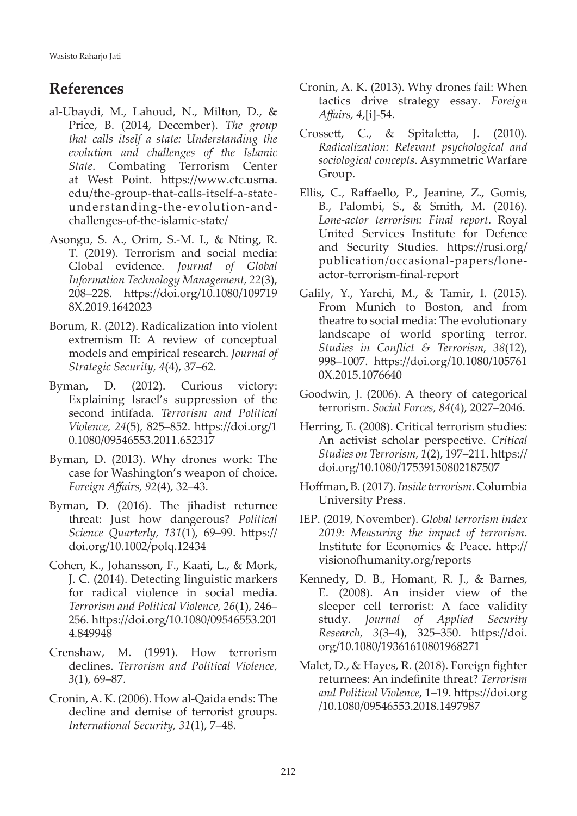## **References**

- al-Ubaydi, M., Lahoud, N., Milton, D., & Price, B. (2014, December). *The group that calls itself a state: Understanding the evolution and challenges of the Islamic State*. Combating Terrorism Center at West Point. https://www.ctc.usma. edu/the-group-that-calls-itself-a-stateunderstanding-the-evolution-andchallenges-of-the-islamic-state/
- Asongu, S. A., Orim, S.-M. I., & Nting, R. T. (2019). Terrorism and social media: Global evidence. *Journal of Global Information Technology Management, 22*(3), 208–228. https://doi.org/10.1080/109719 8X.2019.1642023
- Borum, R. (2012). Radicalization into violent extremism II: A review of conceptual models and empirical research. *Journal of Strategic Security, 4*(4), 37–62.
- Byman, D. (2012). Curious victory: Explaining Israel's suppression of the second intifada. *Terrorism and Political Violence, 24*(5), 825–852. https://doi.org/1 0.1080/09546553.2011.652317
- Byman, D. (2013). Why drones work: The case for Washington's weapon of choice. *Foreign Affairs, 92*(4), 32–43.
- Byman, D. (2016). The jihadist returnee threat: Just how dangerous? *Political Science Quarterly, 131*(1), 69–99. https:// doi.org/10.1002/polq.12434
- Cohen, K., Johansson, F., Kaati, L., & Mork, J. C. (2014). Detecting linguistic markers for radical violence in social media. *Terrorism and Political Violence, 26*(1), 246– 256. https://doi.org/10.1080/09546553.201 4.849948
- Crenshaw, M. (1991). How terrorism declines. *Terrorism and Political Violence, 3*(1), 69–87.
- Cronin, A. K. (2006). How al-Qaida ends: The decline and demise of terrorist groups. *International Security, 31*(1), 7–48.
- Cronin, A. K. (2013). Why drones fail: When tactics drive strategy essay. *Foreign Affairs, 4*,[i]-54.
- Crossett, C., & Spitaletta, J. (2010). *Radicalization: Relevant psychological and sociological concepts*. Asymmetric Warfare Group.
- Ellis, C., Raffaello, P., Jeanine, Z., Gomis, B., Palombi, S., & Smith, M. (2016). *Lone-actor terrorism: Final report*. Royal United Services Institute for Defence and Security Studies. https://rusi.org/ publication/occasional-papers/loneactor-terrorism-final-report
- Galily, Y., Yarchi, M., & Tamir, I. (2015). From Munich to Boston, and from theatre to social media: The evolutionary landscape of world sporting terror. *Studies in Conflict & Terrorism, 38*(12), 998–1007. https://doi.org/10.1080/105761 0X.2015.1076640
- Goodwin, J. (2006). A theory of categorical terrorism. *Social Forces, 84*(4), 2027–2046.
- Herring, E. (2008). Critical terrorism studies: An activist scholar perspective. *Critical Studies on Terrorism, 1*(2), 197–211. https:// doi.org/10.1080/17539150802187507
- Hoffman, B. (2017). *Inside terrorism*. Columbia University Press.
- IEP. (2019, November). *Global terrorism index 2019: Measuring the impact of terrorism*. Institute for Economics & Peace. http:// visionofhumanity.org/reports
- Kennedy, D. B., Homant, R. J., & Barnes, E. (2008). An insider view of the sleeper cell terrorist: A face validity study. *Journal of Applied Security Research, 3*(3–4), 325–350. https://doi. org/10.1080/19361610801968271
- Malet, D., & Hayes, R. (2018). Foreign fighter returnees: An indefinite threat? *Terrorism and Political Violence*, 1–19. https://doi.org /10.1080/09546553.2018.1497987